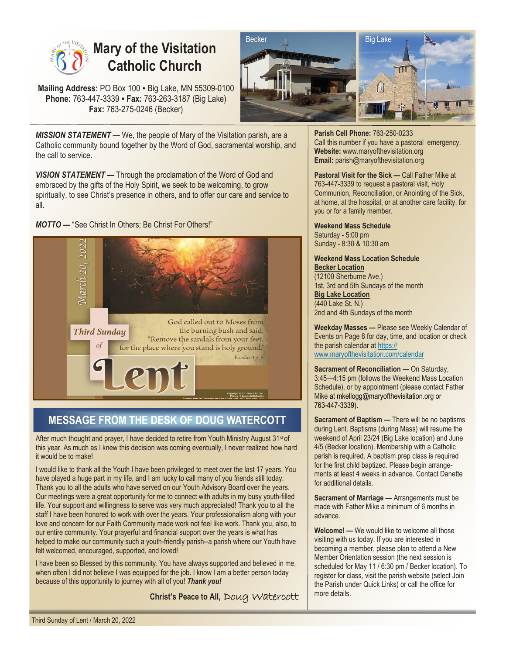

# **Mary of the Visitation Catholic Church**

**Mailing Address:** PO Box 100 • Big Lake, MN 55309-0100 **Phone:** 763-447-3339 **• Fax:** 763-263-3187 (Big Lake) **Fax:** 763-275-0246 (Becker)



*MISSION STATEMENT —* We, the people of Mary of the Visitation parish, are a Catholic community bound together by the Word of God, sacramental worship, and the call to service.

**VISION STATEMENT** — Through the proclamation of the Word of God and embraced by the gifts of the Holy Spirit, we seek to be welcoming, to grow spiritually, to see Christ's presence in others, and to offer our care and service to all.

*MOTTO —* "See Christ In Others; Be Christ For Others!"



# **MESSAGE FROM THE DESK OF DOUG WATERCOTT**

After much thought and prayer, I have decided to retire from Youth Ministry August 31st of this year. As much as I knew this decision was coming eventually, I never realized how hard it would be to make!

I would like to thank all the Youth I have been privileged to meet over the last 17 years. You have played a huge part in my life, and I am lucky to call many of you friends still today. Thank you to all the adults who have served on our Youth Advisory Board over the years. Our meetings were a great opportunity for me to connect with adults in my busy youth-filled life. Your support and willingness to serve was very much appreciated! Thank you to all the staff I have been honored to work with over the years. Your professionalism along with your love and concern for our Faith Community made work not feel like work. Thank you, also, to our entire community. Your prayerful and financial support over the years is what has helped to make our community such a youth-friendly parish--a parish where our Youth have felt welcomed, encouraged, supported, and loved!

I have been so Blessed by this community. You have always supported and believed in me, when often I did not believe I was equipped for the job. I know I am a better person today because of this opportunity to journey with all of you! *Thank you!* 

**Christ's Peace to All,** Doug Watercott

**Parish Cell Phone:** 763-250-0233 Call this number if you have a pastoral emergency. **Website:** www.maryofthevisitation.org **Email:** parish@maryofthevisitation.org

**Pastoral Visit for the Sick —** Call Father Mike at 763-447-3339 to request a pastoral visit, Holy Communion, Reconciliation, or Anointing of the Sick, at home, at the hospital, or at another care facility, for you or for a family member.

**Weekend Mass Schedule**  Saturday - 5:00 pm Sunday - 8:30 & 10:30 am

**Weekend Mass Location Schedule Becker Location**  (12100 Sherburne Ave.) 1st, 3rd and 5th Sundays of the month **Big Lake Location**  (440 Lake St. N.) 2nd and 4th Sundays of the month

**Weekday Masses —** Please see Weekly Calendar of Events on Page 8 for day, time, and location or check the parish calendar at https:// www.maryofthevisitation.com/calendar

**Sacrament of Reconciliation — On Saturday,** 3:45—4:15 pm (follows the Weekend Mass Location Schedule), or by appointment (please contact Father Mike at mkellogg@maryofthevisitation.org or 763-447-3339).

**Sacrament of Baptism — There will be no baptisms** during Lent. Baptisms (during Mass) will resume the weekend of April 23/24 (Big Lake location) and June 4/5 (Becker location). Membership with a Catholic parish is required. A baptism prep class is required for the first child baptized. Please begin arrangements at least 4 weeks in advance. Contact Danette for additional details.

**Sacrament of Marriage —** Arrangements must be made with Father Mike a minimum of 6 months in advance.

**Welcome! —** We would like to welcome all those visiting with us today. If you are interested in becoming a member, please plan to attend a New Member Orientation session (the next session is scheduled for May 11 / 6:30 pm / Becker location). To register for class, visit the parish website (select Join the Parish under Quick Links) or call the office for more details.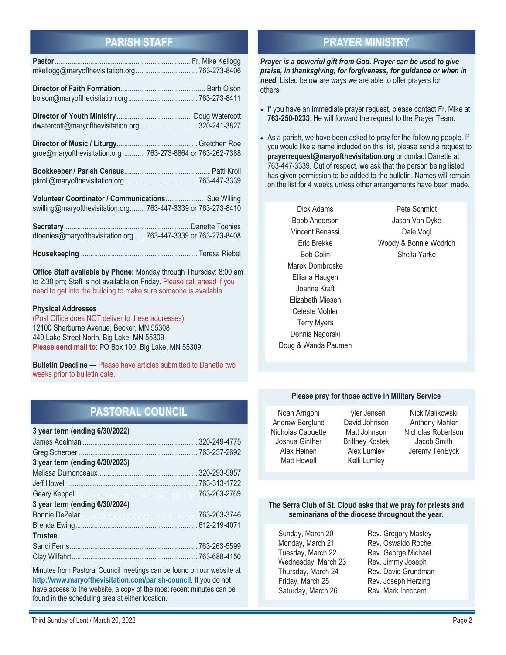# **PARISH STAFF**

| dwatercott@maryofthevisitation.org 320-241-3827                                                                     |  |
|---------------------------------------------------------------------------------------------------------------------|--|
| groe@maryofthevisitation.org  763-273-8864 or 763-262-7388                                                          |  |
|                                                                                                                     |  |
| Volunteer Coordinator / Communications Sue Willing<br>swilling@maryofthevisitation.org 763-447-3339 or 763-273-8410 |  |
| dtoenies@maryofthevisitation.org 763-447-3339 or 763-273-8408                                                       |  |
|                                                                                                                     |  |

**Office Staff available by Phone:** Monday through Thursday: 8:00 am to 2:30 pm; Staff is not available on Friday. Please call ahead if you need to get into the building to make sure someone is available.

#### **Physical Addresses**

(Post Office does NOT deliver to these addresses) 12100 Sherburne Avenue, Becker, MN 55308 440 Lake Street North, Big Lake, MN 55309 **Please send mail to**: PO Box 100, Big Lake, MN 55309

**Bulletin Deadline —** Please have articles submitted to Danette two weeks prior to bulletin date.

# **PASTORAL COUNCIL**

| 3 year term (ending 6/30/2022) |  |
|--------------------------------|--|
|                                |  |
|                                |  |
| 3 year term (ending 6/30/2023) |  |
|                                |  |
|                                |  |
|                                |  |
| 3 year term (ending 6/30/2024) |  |
|                                |  |
|                                |  |
| <b>Trustee</b>                 |  |
|                                |  |
|                                |  |

Minutes from Pastoral Council meetings can be found on our website at **http://www.maryofthevisitation.com/parish-council**. If you do not have access to the website, a copy of the most recent minutes can be found in the scheduling area at either location.

# **PRAYER MINISTRY**

*Prayer is a powerful gift from God. Prayer can be used to give praise, in thanksgiving, for forgiveness, for guidance or when in need.* Listed below are ways we are able to offer prayers for others:

- If you have an immediate prayer request, please contact Fr. Mike at **763-250-0233**. He will forward the request to the Prayer Team.
- As a parish, we have been asked to pray for the following people. If you would like a name included on this list, please send a request to **prayerrequest@maryofthevisitation.org** or contact Danette at 763-447-3339. Out of respect, we ask that the person being listed has given permission to be added to the bulletin. Names will remain on the list for 4 weeks unless other arrangements have been made.

Dick Adams Bobb Anderson Vincent Benassi Eric Brekke Bob Colin Marek Dombroske Elliana Haugen Joanne Kraft Elizabeth Miesen Celeste Mohler Terry Myers Dennis Nagorski Doug & Wanda Paumen

Pete Schmidt Jason Van Dyke Dale Vogl Woody & Bonnie Wodrich Sheila Yarke

#### **Please pray for those active in Military Service**

| Noah Arrigoni      |
|--------------------|
| Andrew Berglund    |
| Nicholas Caouette  |
| Joshua Ginther     |
| Alex Heinen        |
| <b>Matt Howell</b> |

Tyler Jensen David Johnson Matt Johnson Brittney Kostek Alex Lumley Kelli Lumley

Nick Malikowski Anthony Mohler Nicholas Robertson Jacob Smith Jeremy TenEyck

#### **The Serra Club of St. Cloud asks that we pray for priests and seminarians of the diocese throughout the year.**

Sunday, March 20 Rev. Gregory Mastey Monday, March 21 Rev. Oswaldo Roche Tuesday, March 22 Rev. George Michael Wednesday, March 23 Rev. Jimmy Joseph Thursday, March 24 Rev. David Grundman Friday, March 25 **Rev. Joseph Herzing**<br>
Saturday, March 26 **Rev. Mark Innocenti** Saturday, March 26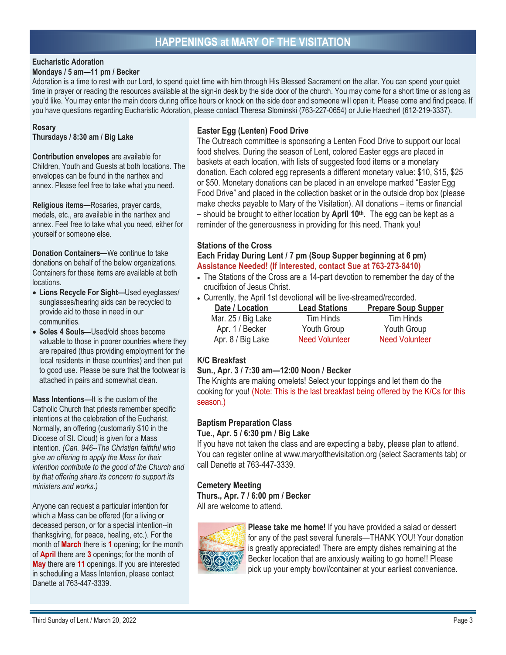# **HAPPENINGS at MARY OF THE VISITATION**

#### **Eucharistic Adoration Mondays / 5 am—11 pm / Becker**

Adoration is a time to rest with our Lord, to spend quiet time with him through His Blessed Sacrament on the altar. You can spend your quiet time in prayer or reading the resources available at the sign-in desk by the side door of the church. You may come for a short time or as long as you'd like. You may enter the main doors during office hours or knock on the side door and someone will open it. Please come and find peace. If you have questions regarding Eucharistic Adoration, please contact Theresa Slominski (763-227-0654) or Julie Haecherl (612-219-3337).

### **Rosary**

**Thursdays / 8:30 am / Big Lake** 

**Contribution envelopes** are available for Children, Youth and Guests at both locations. The envelopes can be found in the narthex and annex. Please feel free to take what you need.

**Religious items—**Rosaries, prayer cards, medals, etc., are available in the narthex and annex. Feel free to take what you need, either for yourself or someone else.

**Donation Containers—**We continue to take donations on behalf of the below organizations. Containers for these items are available at both locations.

- **Lions Recycle For Sight—**Used eyeglasses/ sunglasses/hearing aids can be recycled to provide aid to those in need in our communities.
- **Soles 4 Souls—**Used/old shoes become valuable to those in poorer countries where they are repaired (thus providing employment for the local residents in those countries) and then put to good use. Please be sure that the footwear is attached in pairs and somewhat clean.

**Mass Intentions—**It is the custom of the Catholic Church that priests remember specific intentions at the celebration of the Eucharist. Normally, an offering (customarily \$10 in the Diocese of St. Cloud) is given for a Mass intention. *(Can. 946--The Christian faithful who give an offering to apply the Mass for their intention contribute to the good of the Church and by that offering share its concern to support its ministers and works.)*

Anyone can request a particular intention for which a Mass can be offered (for a living or deceased person, or for a special intention--in thanksgiving, for peace, healing, etc.). For the month of **March** there is **1** opening; for the month of **April** there are **3** openings; for the month of **May** there are **11** openings. If you are interested in scheduling a Mass Intention, please contact Danette at 763-447-3339.

## **Easter Egg (Lenten) Food Drive**

The Outreach committee is sponsoring a Lenten Food Drive to support our local food shelves. During the season of Lent, colored Easter eggs are placed in baskets at each location, with lists of suggested food items or a monetary donation. Each colored egg represents a different monetary value: \$10, \$15, \$25 or \$50. Monetary donations can be placed in an envelope marked "Easter Egg Food Drive" and placed in the collection basket or in the outside drop box (please make checks payable to Mary of the Visitation). All donations – items or financial – should be brought to either location by **April 10th**. The egg can be kept as a reminder of the generousness in providing for this need. Thank you!

## **Stations of the Cross**

### **Each Friday During Lent / 7 pm (Soup Supper beginning at 6 pm) Assistance Needed! (If interested, contact Sue at 763-273-8410)**

- The Stations of the Cross are a 14-part devotion to remember the day of the crucifixion of Jesus Christ.
- Currently, the April 1st devotional will be live-streamed/recorded.

| Date / Location    | <b>Lead Stations</b>  | <b>Prepare Soup Supper</b> |
|--------------------|-----------------------|----------------------------|
| Mar. 25 / Big Lake | Tim Hinds             | Tim Hinds                  |
| Apr. 1 / Becker    | Youth Group           | Youth Group                |
| Apr. 8 / Big Lake  | <b>Need Volunteer</b> | <b>Need Volunteer</b>      |

## **K/C Breakfast**

## **Sun., Apr. 3 / 7:30 am—12:00 Noon / Becker**

The Knights are making omelets! Select your toppings and let them do the cooking for you! (Note: This is the last breakfast being offered by the K/Cs for this season.)

## **Baptism Preparation Class**

### **Tue., Apr. 5 / 6:30 pm / Big Lake**

If you have not taken the class and are expecting a baby, please plan to attend. You can register online at www.maryofthevisitation.org (select Sacraments tab) or call Danette at 763-447-3339.

## **Cemetery Meeting**

**Thurs., Apr. 7 / 6:00 pm / Becker** 

All are welcome to attend.



**Please take me home!** If you have provided a salad or dessert for any of the past several funerals—THANK YOU! Your donation is greatly appreciated! There are empty dishes remaining at the Becker location that are anxiously waiting to go home!! Please pick up your empty bowl/container at your earliest convenience.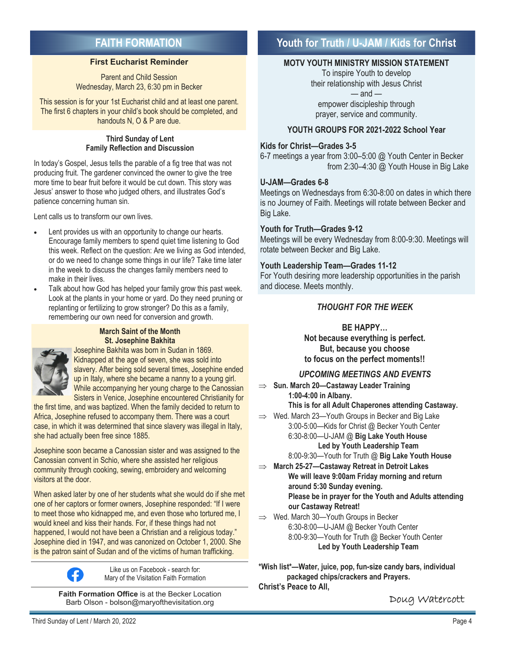# **FAITH FORMATION**

## **First Eucharist Reminder**

Parent and Child Session Wednesday, March 23, 6:30 pm in Becker

This session is for your 1st Eucharist child and at least one parent. The first 6 chapters in your child's book should be completed, and handouts N, O & P are due.

#### **Third Sunday of Lent Family Reflection and Discussion**

In today's Gospel, Jesus tells the parable of a fig tree that was not producing fruit. The gardener convinced the owner to give the tree more time to bear fruit before it would be cut down. This story was Jesus' answer to those who judged others, and illustrates God's patience concerning human sin.

Lent calls us to transform our own lives.

- Lent provides us with an opportunity to change our hearts. Encourage family members to spend quiet time listening to God this week. Reflect on the question: Are we living as God intended, or do we need to change some things in our life? Take time later in the week to discuss the changes family members need to make in their lives.
- Talk about how God has helped your family grow this past week. Look at the plants in your home or yard. Do they need pruning or replanting or fertilizing to grow stronger? Do this as a family, remembering our own need for conversion and growth.

#### **March Saint of the Month St. Josephine Bakhita**



Josephine Bakhita was born in Sudan in 1869. Kidnapped at the age of seven, she was sold into slavery. After being sold several times, Josephine ended up in Italy, where she became a nanny to a young girl. While accompanying her young charge to the Canossian Sisters in Venice, Josephine encountered Christianity for

the first time, and was baptized. When the family decided to return to Africa, Josephine refused to accompany them. There was a court case, in which it was determined that since slavery was illegal in Italy, she had actually been free since 1885.

Josephine soon became a Canossian sister and was assigned to the Canossian convent in Schio, where she assisted her religious community through cooking, sewing, embroidery and welcoming visitors at the door.

When asked later by one of her students what she would do if she met one of her captors or former owners, Josephine responded: "If I were to meet those who kidnapped me, and even those who tortured me, I would kneel and kiss their hands. For, if these things had not happened, I would not have been a Christian and a religious today." Josephine died in 1947, and was canonized on October 1, 2000. She is the patron saint of Sudan and of the victims of human trafficking.



Like us on Facebook - search for: Mary of the Visitation Faith Formation

**Faith Formation Office** is at the Becker Location Barb Olson - bolson@maryofthevisitation.org

# **Youth for Truth / U-JAM / Kids for Christ**

## **MOTV YOUTH MINISTRY MISSION STATEMENT**

To inspire Youth to develop their relationship with Jesus Christ  $-$  and  $$ empower discipleship through

prayer, service and community.

## **YOUTH GROUPS FOR 2021-2022 School Year**

## **Kids for Christ—Grades 3-5**

6-7 meetings a year from 3:00–5:00 @ Youth Center in Becker from 2:30–4:30 @ Youth House in Big Lake

## **U-JAM—Grades 6-8**

Meetings on Wednesdays from 6:30-8:00 on dates in which there is no Journey of Faith. Meetings will rotate between Becker and Big Lake.

## **Youth for Truth—Grades 9-12**

Meetings will be every Wednesday from 8:00-9:30. Meetings will rotate between Becker and Big Lake.

## **Youth Leadership Team—Grades 11-12**

For Youth desiring more leadership opportunities in the parish and diocese. Meets monthly.

## *THOUGHT FOR THE WEEK*

## **BE HAPPY…**

**Not because everything is perfect. But, because you choose to focus on the perfect moments!!** 

## *UPCOMING MEETINGS AND EVENTS*

- **Sun. March 20—Castaway Leader Training 1:00-4:00 in Albany. This is for all Adult Chaperones attending Castaway.**
- $\Rightarrow$  Wed. March 23-Youth Groups in Becker and Big Lake 3:00-5:00—Kids for Christ @ Becker Youth Center 6:30-8:00—U-JAM @ **Big Lake Youth House Led by Youth Leadership Team** 
	- 8:00-9:30—Youth for Truth @ **Big Lake Youth House**
- **March 25-27—Castaway Retreat in Detroit Lakes We will leave 9:00am Friday morning and return around 5:30 Sunday evening. Please be in prayer for the Youth and Adults attending our Castaway Retreat!**
- $\implies$  Wed. March 30-Youth Groups in Becker 6:30-8:00—U-JAM @ Becker Youth Center 8:00-9:30—Youth for Truth @ Becker Youth Center **Led by Youth Leadership Team**

**\*Wish list\*—Water, juice, pop, fun-size candy bars, individual packaged chips/crackers and Prayers. Christ's Peace to All,**

Doug Watercott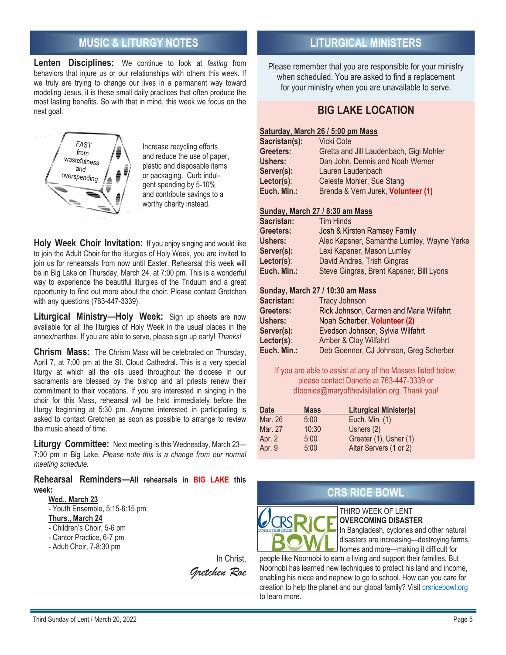# **MUSIC & LITURGY NOTES LITURGICAL MINISTERS**

**Lenten Disciplines:** We continue to look at *fasting* from behaviors that injure us or our relationships with others this week. If we truly are trying to change our lives in a permanent way toward modeling Jesus, it is these small daily practices that often produce the most lasting benefits. So with that in mind, this week we focus on the next goal:



Increase recycling efforts and reduce the use of paper, plastic and disposable items or packaging. Curb indulgent spending by 5-10% and contribute savings to a worthy charity instead.

**Holy Week Choir Invitation:** If you enjoy singing and would like to join the Adult Choir for the liturgies of Holy Week, you are invited to join us for rehearsals from now until Easter. Rehearsal this week will be in Big Lake on Thursday, March 24, at 7:00 pm. This is a wonderful way to experience the beautiful liturgies of the Triduum and a great opportunity to find out more about the choir. Please contact Gretchen with any questions (763-447-3339).

**Liturgical Ministry—Holy Week:** Sign up sheets are now available for all the liturgies of Holy Week in the usual places in the annex/narthex. If you are able to serve, please sign up early! *Thanks!*

**Chrism Mass:** The Chrism Mass will be celebrated on Thursday, April 7, at 7:00 pm at the St. Cloud Cathedral. This is a very special liturgy at which all the oils used throughout the diocese in our sacraments are blessed by the bishop and all priests renew their commitment to their vocations. If you are interested in singing in the choir for this Mass, rehearsal will be held immediately before the liturgy beginning at 5:30 pm. Anyone interested in participating is asked to contact Gretchen as soon as possible to arrange to review the music ahead of time.

**Liturgy Committee:** Next meeting is this Wednesday, March 23— 7:00 pm in Big Lake*. Please note this is a change from our normal meeting schedule.*

#### **Rehearsal Reminders—All rehearsals in BIG LAKE this week:**

## **Wed., March 23**

- Youth Ensemble, 5:15-6:15 pm
- **Thurs., March 24**
- Children's Choir, 5-6 pm
- Cantor Practice, 6-7 pm
- Adult Choir, 7-8:30 pm

In Christ, *Gretchen Roe* 

Please remember that you are responsible for your ministry when scheduled. You are asked to find a replacement for your ministry when you are unavailable to serve.

# **BIG LAKE LOCATION**

## **Saturday, March 26 / 5:00 pm Mass**

| <b>Vicki Cote</b>                       |
|-----------------------------------------|
| Gretta and Jill Laudenbach, Gigi Mohler |
| Dan John, Dennis and Noah Werner        |
| Lauren Laudenbach                       |
| Celeste Mohler, Sue Stang               |
| Brenda & Vern Jurek, Volunteer (1)      |
|                                         |

#### **Sunday, March 27 / 8:30 am Mass**

| Sacristan:  | <b>Tim Hinds</b>                           |
|-------------|--------------------------------------------|
| Greeters:   | Josh & Kirsten Ramsey Family               |
| Ushers:     | Alec Kapsner, Samantha Lumley, Wayne Yarke |
| Server(s):  | Lexi Kapsner, Mason Lumley                 |
| Lector(s):  | David Andres, Trish Gingras                |
| Euch. Min.: | Steve Gingras, Brent Kapsner, Bill Lyons   |

#### **Sunday, March 27 / 10:30 am Mass**

| Sacristan:     | <b>Tracy Johnson</b>                    |
|----------------|-----------------------------------------|
| Greeters:      | Rick Johnson, Carmen and Maria Wilfahrt |
| <b>Ushers:</b> | Noah Scherber, Volunteer (2)            |
| Server(s):     | Evedson Johnson, Sylvia Wilfahrt        |
| Lector(s):     | Amber & Clay Wilfahrt                   |
| Euch. Min.:    | Deb Goenner, CJ Johnson, Greg Scherber  |

If you are able to assist at any of the Masses listed below, please contact Danette at 763-447-3339 or dtoenies@maryofthevisitation.org. Thank you!

| <b>Date</b> | <b>Mass</b> | <b>Liturgical Minister(s)</b> |
|-------------|-------------|-------------------------------|
| Mar. 26     | 5:00        | Euch. Min. (1)                |
| Mar. 27     | 10:30       | Ushers (2)                    |
| Apr. 2      | 5:00        | Greeter (1), Usher (1)        |
| Apr. 9      | 5:00        | Altar Servers (1 or 2)        |

# **CRS RICE BOWL**



THIRD WEEK OF LENT **OVERCOMING DISASTER**

In Bangladesh, cyclones and other natural disasters are increasing—destroying farms, homes and more—making it difficult for

people like Noornobi to earn a living and support their families. But Noornobi has learned new techniques to protect his land and income, enabling his niece and nephew to go to school. How can you care for creation to help the planet and our global family? Visit crsricebowl.org to learn more.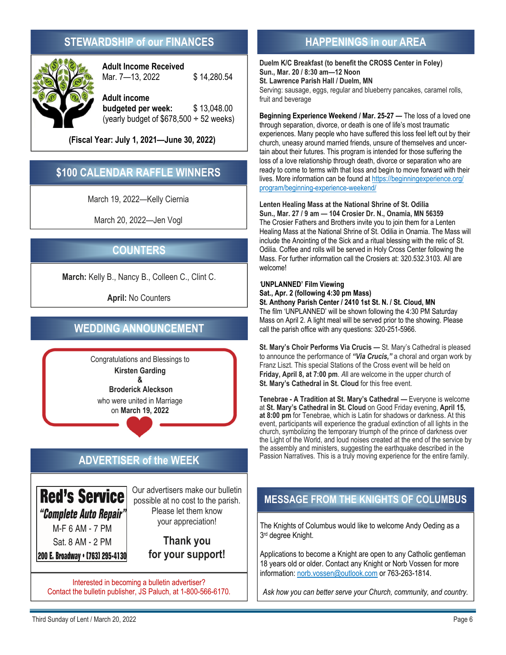# **STEWARDSHIP of our FINANCES HAPPENINGS** in our AREA



**Adult Income Received**  Mar. 7-13, 2022 \$14,280.54

**Adult income budgeted per week:** \$ 13,048.00 (yearly budget of  $$678,500 \div 52$  weeks)

**(Fiscal Year: July 1, 2021—June 30, 2022)** 

# **\$100 CALENDAR RAFFLE WINNERS**

March 19, 2022—Kelly Ciernia

March 20, 2022—Jen Vogl

# **COUNTERS**

**March:** Kelly B., Nancy B., Colleen C., Clint C.

**April:** No Counters

# **WEDDING ANNOUNCEMENT**

Congratulations and Blessings to **Kirsten Garding &** 

 **Broderick Aleckson** who were united in Marriage on **March 19, 2022**

# **ADVERTISER of the WEEK**

**Red's Service** "Complete Auto Repair" M-F 6 AM - 7 PM Sat. 8 AM - 2 PM

200 E. Broadway . [763] 295-4130

Our advertisers make our bulletin possible at no cost to the parish. Please let them know your appreciation!

> **Thank you for your support!**

Interested in becoming a bulletin advertiser? Contact the bulletin publisher, JS Paluch, at 1-800-566-6170.

**Duelm K/C Breakfast (to benefit the CROSS Center in Foley) Sun., Mar. 20 / 8:30 am—12 Noon St. Lawrence Parish Hall / Duelm, MN**  Serving: sausage, eggs, regular and blueberry pancakes, caramel rolls,

fruit and beverage **Beginning Experience Weekend / Mar. 25-27** — The loss of a loved one through separation, divorce, or death is one of life's most traumatic experiences. Many people who have suffered this loss feel left out by their church, uneasy around married friends, unsure of themselves and uncertain about their futures. This program is intended for those suffering the loss of a love relationship through death, divorce or separation who are ready to come to terms with that loss and begin to move forward with their

lives. More information can be found at https://beginningexperience.org/ program/beginning-experience-weekend/

**Lenten Healing Mass at the National Shrine of St. Odilia Sun., Mar. 27 / 9 am — 104 Crosier Dr. N., Onamia, MN 56359**  The Crosier Fathers and Brothers invite you to join them for a Lenten Healing Mass at the National Shrine of St. Odilia in Onamia. The Mass will include the Anointing of the Sick and a ritual blessing with the relic of St. Odilia. Coffee and rolls will be served in Holy Cross Center following the Mass. For further information call the Crosiers at: 320.532.3103. All are welcome!

## *'***UNPLANNED' Film Viewing**

**Sat., Apr. 2 (following 4:30 pm Mass) St. Anthony Parish Center / 2410 1st St. N. / St. Cloud, MN**  The film 'UNPLANNED' will be shown following the 4:30 PM Saturday Mass on April 2. A light meal will be served prior to the showing. Please call the parish office with any questions: 320-251-5966.

**St. Mary's Choir Performs Via Crucis —** St. Mary's Cathedral is pleased to announce the performance of *"Via Crucis,"* a choral and organ work by Franz Liszt. This special Stations of the Cross event will be held on **Friday, April 8, at 7:00 pm**. *A*ll are welcome in the upper church of **St. Mary's Cathedral in St. Cloud** for this free event.

**Tenebrae - A Tradition at St. Mary's Cathedral —** Everyone is welcome at **St. Mary's Cathedral in St. Cloud** on Good Friday evening, **April 15, at 8:00 pm** for Tenebrae, which is Latin for shadows or darkness. At this event, participants will experience the gradual extinction of all lights in the church, symbolizing the temporary triumph of the prince of darkness over the Light of the World, and loud noises created at the end of the service by the assembly and ministers, suggesting the earthquake described in the Passion Narratives. This is a truly moving experience for the entire family.

# **MESSAGE FROM THE KNIGHTS OF COLUMBUS**

The Knights of Columbus would like to welcome Andy Oeding as a 3rd degree Knight.

Applications to become a Knight are open to any Catholic gentleman 18 years old or older. Contact any Knight or Norb Vossen for more information: norb.vossen@outlook.com or 763-263-1814.

*Ask how you can better serve your Church, community, and country.*